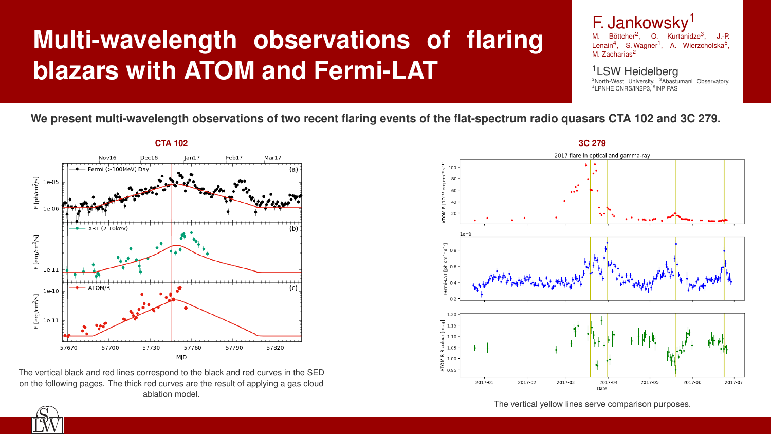# **Multi-wavelength observations of flaring blazars with ATOM and Fermi-LAT**



### **We present multi-wavelength observations of two recent flaring events of the flat-spectrum radio quasars CTA 102 and 3C 279.**

![](_page_0_Figure_2.jpeg)

The vertical black and red lines correspond to the black and red curves in the SED on the following pages. The thick red curves are the result of applying a gas cloud ablation model.

![](_page_0_Figure_6.jpeg)

The vertical yellow lines serve comparison purposes.

![](_page_0_Picture_4.jpeg)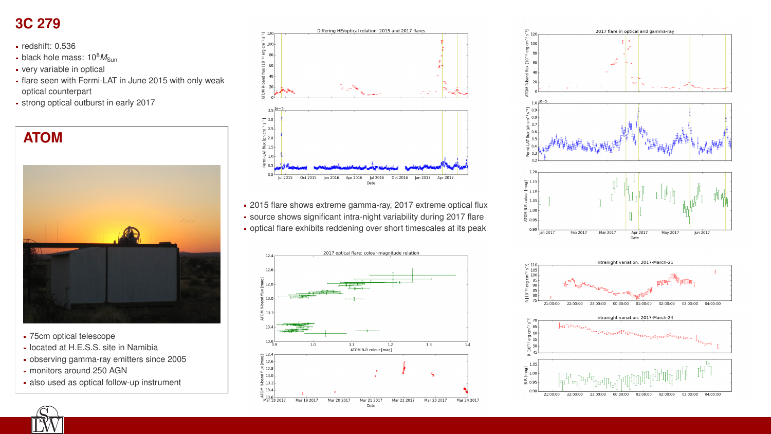## **3C 279**

- redshift: 0.536
- $\blacksquare$  black hole mass:  $10^8 M_{\rm Sun}$
- very variable in optical
- flare seen with Fermi-LAT in June 2015 with only weak optical counterpart
- strong optical outburst in early 2017

![](_page_1_Picture_6.jpeg)

- 75cm optical telescope
- **located at H.E.S.S. site in Namibia**
- observing gamma-ray emitters since 2005
- monitors around 250 AGN
- also used as optical follow-up instrument
- 
- 

2015 flare shows extreme gamma-ray, 2017 extreme optical flux source shows significant intra-night variability during 2017 flare optical flare exhibits reddening over short timescales at its peak

![](_page_1_Figure_22.jpeg)

g

 $\Xi$ 

 $\overline{R}$ 

 $\sim$ 

ច្ចា

![](_page_1_Figure_24.jpeg)

![](_page_1_Picture_19.jpeg)

![](_page_1_Figure_20.jpeg)